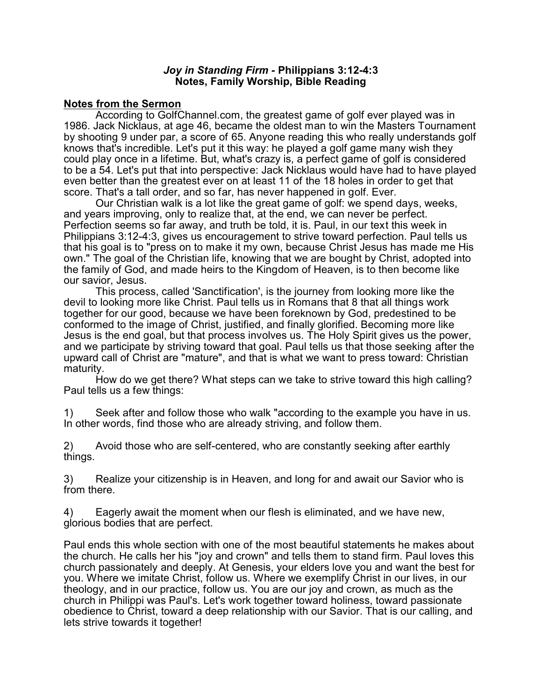### *Joy in Standing Firm -* **Philippians 3:12-4:3 Notes, Family Worship, Bible Reading**

### **Notes from the Sermon**

According to GolfChannel.com, the greatest game of golf ever played was in 1986. Jack Nicklaus, at age 46, became the oldest man to win the Masters Tournament by shooting 9 under par, a score of 65. Anyone reading this who really understands golf knows that's incredible. Let's put it this way: he played a golf game many wish they could play once in a lifetime. But, what's crazy is, a perfect game of golf is considered to be a 54. Let's put that into perspective: Jack Nicklaus would have had to have played even better than the greatest ever on at least 11 of the 18 holes in order to get that score. That's a tall order, and so far, has never happened in golf. Ever.

Our Christian walk is a lot like the great game of golf: we spend days, weeks, and years improving, only to realize that, at the end, we can never be perfect. Perfection seems so far away, and truth be told, it is. Paul, in our text this week in Philippians 3:12-4:3, gives us encouragement to strive toward perfection. Paul tells us that his goal is to "press on to make it my own, because Christ Jesus has made me His own." The goal of the Christian life, knowing that we are bought by Christ, adopted into the family of God, and made heirs to the Kingdom of Heaven, is to then become like our savior, Jesus.

This process, called 'Sanctification', is the journey from looking more like the devil to looking more like Christ. Paul tells us in Romans that 8 that all things work together for our good, because we have been foreknown by God, predestined to be conformed to the image of Christ, justified, and finally glorified. Becoming more like Jesus is the end goal, but that process involves us. The Holy Spirit gives us the power, and we participate by striving toward that goal. Paul tells us that those seeking after the upward call of Christ are "mature", and that is what we want to press toward: Christian maturity.

How do we get there? What steps can we take to strive toward this high calling? Paul tells us a few things:

1) Seek after and follow those who walk "according to the example you have in us. In other words, find those who are already striving, and follow them.

2) Avoid those who are self-centered, who are constantly seeking after earthly things.

3) Realize your citizenship is in Heaven, and long for and await our Savior who is from there.

4) Eagerly await the moment when our flesh is eliminated, and we have new, glorious bodies that are perfect.

Paul ends this whole section with one of the most beautiful statements he makes about the church. He calls her his "joy and crown" and tells them to stand firm. Paul loves this church passionately and deeply. At Genesis, your elders love you and want the best for you. Where we imitate Christ, follow us. Where we exemplify Christ in our lives, in our theology, and in our practice, follow us. You are our joy and crown, as much as the church in Philippi was Paul's. Let's work together toward holiness, toward passionate obedience to Christ, toward a deep relationship with our Savior. That is our calling, and lets strive towards it together!